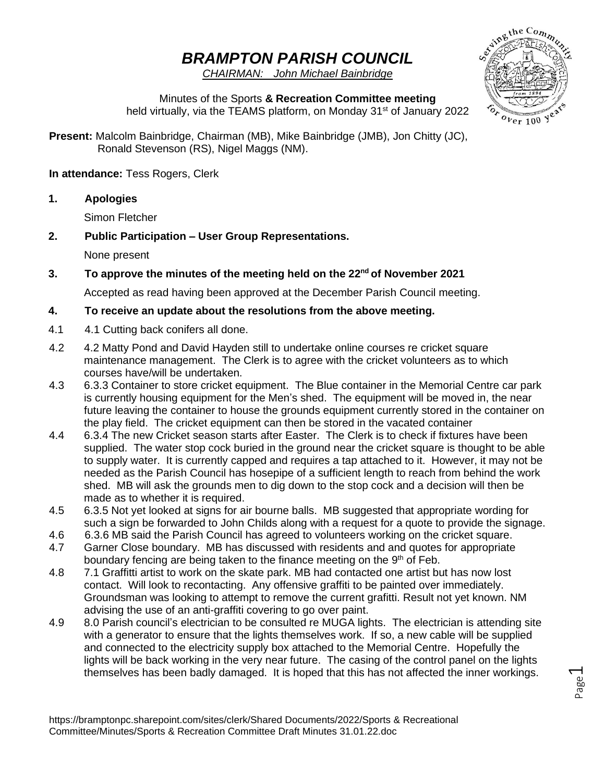# *BRAMPTON PARISH COUNCIL*

*CHAIRMAN: John Michael Bainbridge*



Minutes of the Sports **& Recreation Committee meeting**  held virtually, via the TEAMS platform, on Monday 31<sup>st</sup> of January 2022

**Present:** Malcolm Bainbridge, Chairman (MB), Mike Bainbridge (JMB), Jon Chitty (JC), Ronald Stevenson (RS), Nigel Maggs (NM).

**In attendance:** Tess Rogers, Clerk

**1. Apologies**

Simon Fletcher

# **2. Public Participation – User Group Representations.**

None present

**3. To approve the minutes of the meeting held on the 22nd of November 2021**

Accepted as read having been approved at the December Parish Council meeting.

# **4. To receive an update about the resolutions from the above meeting.**

- 4.1 4.1 Cutting back conifers all done.
- 4.2 4.2 Matty Pond and David Hayden still to undertake online courses re cricket square maintenance management. The Clerk is to agree with the cricket volunteers as to which courses have/will be undertaken.
- 4.3 6.3.3 Container to store cricket equipment. The Blue container in the Memorial Centre car park is currently housing equipment for the Men's shed. The equipment will be moved in, the near future leaving the container to house the grounds equipment currently stored in the container on the play field. The cricket equipment can then be stored in the vacated container
- 4.4 6.3.4 The new Cricket season starts after Easter. The Clerk is to check if fixtures have been supplied. The water stop cock buried in the ground near the cricket square is thought to be able to supply water. It is currently capped and requires a tap attached to it. However, it may not be needed as the Parish Council has hosepipe of a sufficient length to reach from behind the work shed. MB will ask the grounds men to dig down to the stop cock and a decision will then be made as to whether it is required.
- 4.5 6.3.5 Not yet looked at signs for air bourne balls. MB suggested that appropriate wording for such a sign be forwarded to John Childs along with a request for a quote to provide the signage.
- 4.6 6.3.6 MB said the Parish Council has agreed to volunteers working on the cricket square.
- 4.7 Garner Close boundary. MB has discussed with residents and and quotes for appropriate boundary fencing are being taken to the finance meeting on the 9<sup>th</sup> of Feb.
- 4.8 7.1 Graffitti artist to work on the skate park. MB had contacted one artist but has now lost contact. Will look to recontacting. Any offensive graffiti to be painted over immediately. Groundsman was looking to attempt to remove the current grafitti. Result not yet known. NM advising the use of an anti-graffiti covering to go over paint.
- 4.9 8.0 Parish council's electrician to be consulted re MUGA lights. The electrician is attending site with a generator to ensure that the lights themselves work. If so, a new cable will be supplied and connected to the electricity supply box attached to the Memorial Centre. Hopefully the lights will be back working in the very near future. The casing of the control panel on the lights themselves has been badly damaged. It is hoped that this has not affected the inner workings.